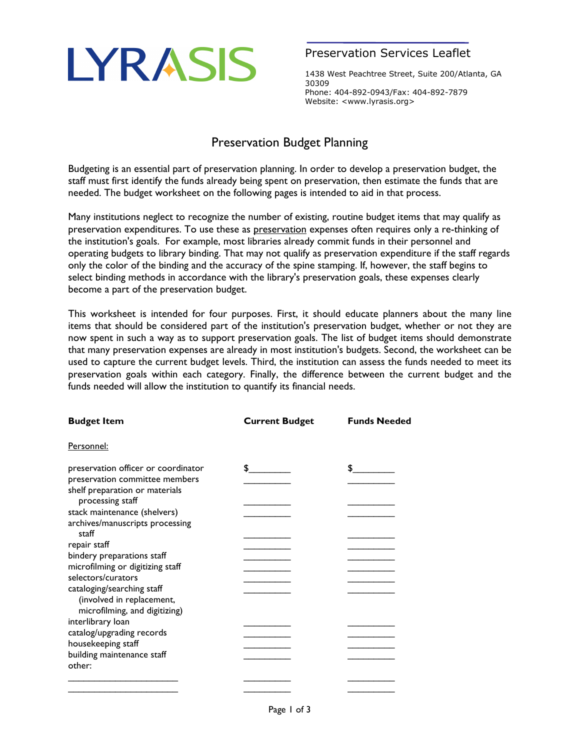## LYRASIS

## Preservation Services Leaflet

1438 West Peachtree Street, Suite 200/Atlanta, GA 30309 Phone: 404-892-0943/Fax: 404-892-7879 Website: <www.lyrasis.org>

## Preservation Budget Planning

Budgeting is an essential part of preservation planning. In order to develop a preservation budget, the staff must first identify the funds already being spent on preservation, then estimate the funds that are needed. The budget worksheet on the following pages is intended to aid in that process.

Many institutions neglect to recognize the number of existing, routine budget items that may qualify as preservation expenditures. To use these as preservation expenses often requires only a re-thinking of the institution's goals. For example, most libraries already commit funds in their personnel and operating budgets to library binding. That may not qualify as preservation expenditure if the staff regards only the color of the binding and the accuracy of the spine stamping. If, however, the staff begins to select binding methods in accordance with the library's preservation goals, these expenses clearly become a part of the preservation budget.

This worksheet is intended for four purposes. First, it should educate planners about the many line items that should be considered part of the institution's preservation budget, whether or not they are now spent in such a way as to support preservation goals. The list of budget items should demonstrate that many preservation expenses are already in most institution's budgets. Second, the worksheet can be used to capture the current budget levels. Third, the institution can assess the funds needed to meet its preservation goals within each category. Finally, the difference between the current budget and the funds needed will allow the institution to quantify its financial needs.

| <b>Budget Item</b>                                         | <b>Current Budget</b> | <b>Funds Needed</b> |
|------------------------------------------------------------|-----------------------|---------------------|
| Personnel:                                                 |                       |                     |
| preservation officer or coordinator                        | \$                    |                     |
| preservation committee members                             |                       |                     |
| shelf preparation or materials<br>processing staff         |                       |                     |
| stack maintenance (shelvers)                               |                       |                     |
| archives/manuscripts processing<br>staff                   |                       |                     |
| repair staff                                               |                       |                     |
| bindery preparations staff                                 |                       |                     |
| microfilming or digitizing staff                           |                       |                     |
| selectors/curators                                         |                       |                     |
| cataloging/searching staff                                 |                       |                     |
| (involved in replacement,<br>microfilming, and digitizing) |                       |                     |
| interlibrary loan                                          |                       |                     |
| catalog/upgrading records                                  |                       |                     |
| housekeeping staff                                         |                       |                     |
| building maintenance staff                                 |                       |                     |
| other:                                                     |                       |                     |
|                                                            |                       |                     |
|                                                            |                       |                     |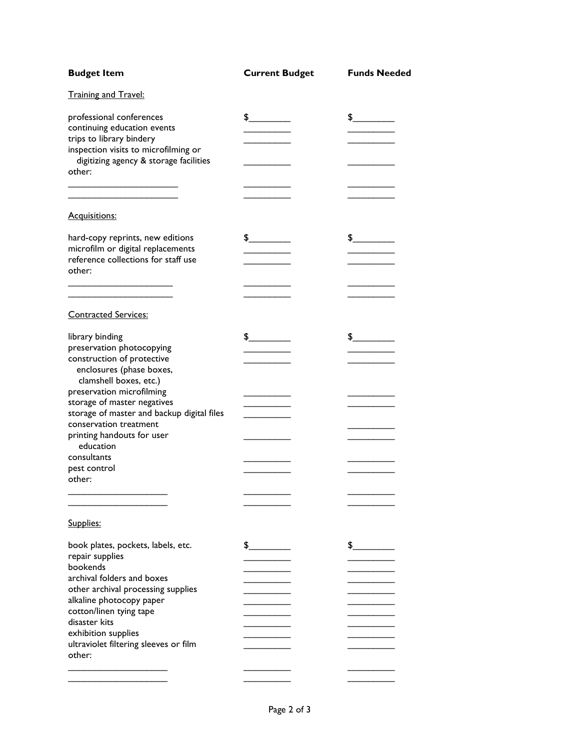| <b>Budget Item</b>                                                                                                                                                              | <b>Current Budget</b> | <b>Funds Needed</b> |
|---------------------------------------------------------------------------------------------------------------------------------------------------------------------------------|-----------------------|---------------------|
| <b>Training and Travel:</b>                                                                                                                                                     |                       |                     |
| professional conferences<br>continuing education events<br>trips to library bindery<br>inspection visits to microfilming or<br>digitizing agency & storage facilities<br>other: | $\frac{1}{2}$         | $\frac{1}{2}$       |
|                                                                                                                                                                                 |                       |                     |
| Acquisitions:                                                                                                                                                                   |                       |                     |
| hard-copy reprints, new editions<br>microfilm or digital replacements<br>reference collections for staff use<br>other:                                                          | $\frac{1}{2}$         | $\frac{1}{2}$       |
|                                                                                                                                                                                 |                       |                     |
| <b>Contracted Services:</b>                                                                                                                                                     |                       |                     |
| library binding<br>preservation photocopying<br>construction of protective<br>enclosures (phase boxes,<br>clamshell boxes, etc.)<br>preservation microfilming                   | $\frac{1}{2}$         | $\frac{1}{2}$       |
| storage of master negatives                                                                                                                                                     |                       |                     |
| storage of master and backup digital files<br>conservation treatment                                                                                                            |                       |                     |
| printing handouts for user<br>education                                                                                                                                         |                       |                     |
| consultants<br>pest control<br>other:                                                                                                                                           |                       |                     |
|                                                                                                                                                                                 |                       |                     |
|                                                                                                                                                                                 |                       |                     |
| Supplies:                                                                                                                                                                       |                       |                     |
| book plates, pockets, labels, etc.                                                                                                                                              | $\frac{1}{2}$         | $\frac{1}{2}$       |
| repair supplies<br>bookends                                                                                                                                                     |                       |                     |
| archival folders and boxes                                                                                                                                                      |                       |                     |
| other archival processing supplies<br>alkaline photocopy paper                                                                                                                  |                       |                     |
| cotton/linen tying tape                                                                                                                                                         |                       |                     |
| disaster kits                                                                                                                                                                   |                       |                     |
| exhibition supplies                                                                                                                                                             |                       |                     |
| ultraviolet filtering sleeves or film<br>other:                                                                                                                                 |                       |                     |
|                                                                                                                                                                                 |                       |                     |
|                                                                                                                                                                                 |                       |                     |